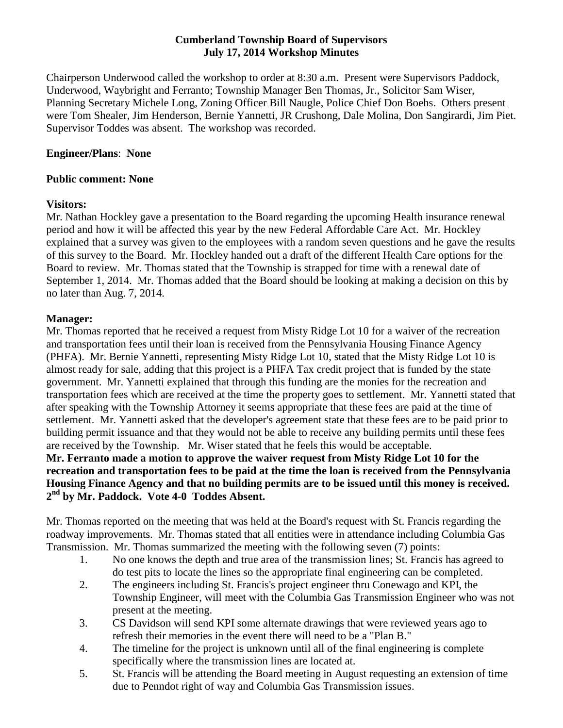#### **Cumberland Township Board of Supervisors July 17, 2014 Workshop Minutes**

Chairperson Underwood called the workshop to order at 8:30 a.m. Present were Supervisors Paddock, Underwood, Waybright and Ferranto; Township Manager Ben Thomas, Jr., Solicitor Sam Wiser, Planning Secretary Michele Long, Zoning Officer Bill Naugle, Police Chief Don Boehs. Others present were Tom Shealer, Jim Henderson, Bernie Yannetti, JR Crushong, Dale Molina, Don Sangirardi, Jim Piet. Supervisor Toddes was absent. The workshop was recorded.

#### **Engineer/Plans**: **None**

#### **Public comment: None**

#### **Visitors:**

Mr. Nathan Hockley gave a presentation to the Board regarding the upcoming Health insurance renewal period and how it will be affected this year by the new Federal Affordable Care Act. Mr. Hockley explained that a survey was given to the employees with a random seven questions and he gave the results of this survey to the Board. Mr. Hockley handed out a draft of the different Health Care options for the Board to review. Mr. Thomas stated that the Township is strapped for time with a renewal date of September 1, 2014. Mr. Thomas added that the Board should be looking at making a decision on this by no later than Aug. 7, 2014.

#### **Manager:**

Mr. Thomas reported that he received a request from Misty Ridge Lot 10 for a waiver of the recreation and transportation fees until their loan is received from the Pennsylvania Housing Finance Agency (PHFA). Mr. Bernie Yannetti, representing Misty Ridge Lot 10, stated that the Misty Ridge Lot 10 is almost ready for sale, adding that this project is a PHFA Tax credit project that is funded by the state government. Mr. Yannetti explained that through this funding are the monies for the recreation and transportation fees which are received at the time the property goes to settlement. Mr. Yannetti stated that after speaking with the Township Attorney it seems appropriate that these fees are paid at the time of settlement. Mr. Yannetti asked that the developer's agreement state that these fees are to be paid prior to building permit issuance and that they would not be able to receive any building permits until these fees are received by the Township. Mr. Wiser stated that he feels this would be acceptable.

**Mr. Ferranto made a motion to approve the waiver request from Misty Ridge Lot 10 for the recreation and transportation fees to be paid at the time the loan is received from the Pennsylvania Housing Finance Agency and that no building permits are to be issued until this money is received. 2 nd by Mr. Paddock. Vote 4-0 Toddes Absent.**

Mr. Thomas reported on the meeting that was held at the Board's request with St. Francis regarding the roadway improvements. Mr. Thomas stated that all entities were in attendance including Columbia Gas Transmission. Mr. Thomas summarized the meeting with the following seven (7) points:

- 1. No one knows the depth and true area of the transmission lines; St. Francis has agreed to do test pits to locate the lines so the appropriate final engineering can be completed.
- 2. The engineers including St. Francis's project engineer thru Conewago and KPI, the Township Engineer, will meet with the Columbia Gas Transmission Engineer who was not present at the meeting.
- 3. CS Davidson will send KPI some alternate drawings that were reviewed years ago to refresh their memories in the event there will need to be a "Plan B."
- 4. The timeline for the project is unknown until all of the final engineering is complete specifically where the transmission lines are located at.
- 5. St. Francis will be attending the Board meeting in August requesting an extension of time due to Penndot right of way and Columbia Gas Transmission issues.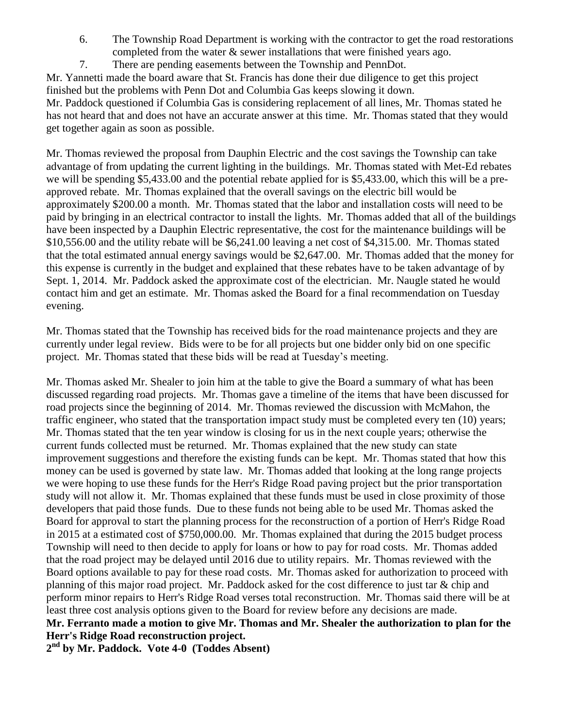- 6. The Township Road Department is working with the contractor to get the road restorations completed from the water  $\&$  sewer installations that were finished years ago.
- 7. There are pending easements between the Township and PennDot.

Mr. Yannetti made the board aware that St. Francis has done their due diligence to get this project finished but the problems with Penn Dot and Columbia Gas keeps slowing it down. Mr. Paddock questioned if Columbia Gas is considering replacement of all lines, Mr. Thomas stated he has not heard that and does not have an accurate answer at this time. Mr. Thomas stated that they would get together again as soon as possible.

Mr. Thomas reviewed the proposal from Dauphin Electric and the cost savings the Township can take advantage of from updating the current lighting in the buildings. Mr. Thomas stated with Met-Ed rebates we will be spending \$5,433.00 and the potential rebate applied for is \$5,433.00, which this will be a preapproved rebate. Mr. Thomas explained that the overall savings on the electric bill would be approximately \$200.00 a month. Mr. Thomas stated that the labor and installation costs will need to be paid by bringing in an electrical contractor to install the lights. Mr. Thomas added that all of the buildings have been inspected by a Dauphin Electric representative, the cost for the maintenance buildings will be \$10,556.00 and the utility rebate will be \$6,241.00 leaving a net cost of \$4,315.00. Mr. Thomas stated that the total estimated annual energy savings would be \$2,647.00. Mr. Thomas added that the money for this expense is currently in the budget and explained that these rebates have to be taken advantage of by Sept. 1, 2014. Mr. Paddock asked the approximate cost of the electrician. Mr. Naugle stated he would contact him and get an estimate. Mr. Thomas asked the Board for a final recommendation on Tuesday evening.

Mr. Thomas stated that the Township has received bids for the road maintenance projects and they are currently under legal review. Bids were to be for all projects but one bidder only bid on one specific project. Mr. Thomas stated that these bids will be read at Tuesday's meeting.

Mr. Thomas asked Mr. Shealer to join him at the table to give the Board a summary of what has been discussed regarding road projects. Mr. Thomas gave a timeline of the items that have been discussed for road projects since the beginning of 2014. Mr. Thomas reviewed the discussion with McMahon, the traffic engineer, who stated that the transportation impact study must be completed every ten (10) years; Mr. Thomas stated that the ten year window is closing for us in the next couple years; otherwise the current funds collected must be returned. Mr. Thomas explained that the new study can state improvement suggestions and therefore the existing funds can be kept. Mr. Thomas stated that how this money can be used is governed by state law. Mr. Thomas added that looking at the long range projects we were hoping to use these funds for the Herr's Ridge Road paving project but the prior transportation study will not allow it. Mr. Thomas explained that these funds must be used in close proximity of those developers that paid those funds. Due to these funds not being able to be used Mr. Thomas asked the Board for approval to start the planning process for the reconstruction of a portion of Herr's Ridge Road in 2015 at a estimated cost of \$750,000.00. Mr. Thomas explained that during the 2015 budget process Township will need to then decide to apply for loans or how to pay for road costs. Mr. Thomas added that the road project may be delayed until 2016 due to utility repairs. Mr. Thomas reviewed with the Board options available to pay for these road costs. Mr. Thomas asked for authorization to proceed with planning of this major road project. Mr. Paddock asked for the cost difference to just tar & chip and perform minor repairs to Herr's Ridge Road verses total reconstruction. Mr. Thomas said there will be at least three cost analysis options given to the Board for review before any decisions are made. **Mr. Ferranto made a motion to give Mr. Thomas and Mr. Shealer the authorization to plan for the** 

**Herr's Ridge Road reconstruction project.**

**2 nd by Mr. Paddock. Vote 4-0 (Toddes Absent)**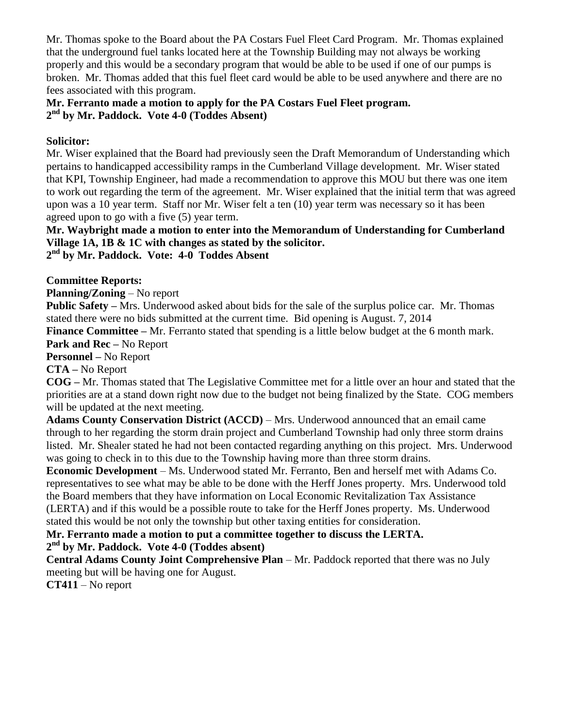Mr. Thomas spoke to the Board about the PA Costars Fuel Fleet Card Program. Mr. Thomas explained that the underground fuel tanks located here at the Township Building may not always be working properly and this would be a secondary program that would be able to be used if one of our pumps is broken. Mr. Thomas added that this fuel fleet card would be able to be used anywhere and there are no fees associated with this program.

#### **Mr. Ferranto made a motion to apply for the PA Costars Fuel Fleet program. 2 nd by Mr. Paddock. Vote 4-0 (Toddes Absent)**

#### **Solicitor:**

Mr. Wiser explained that the Board had previously seen the Draft Memorandum of Understanding which pertains to handicapped accessibility ramps in the Cumberland Village development. Mr. Wiser stated that KPI, Township Engineer, had made a recommendation to approve this MOU but there was one item to work out regarding the term of the agreement. Mr. Wiser explained that the initial term that was agreed upon was a 10 year term. Staff nor Mr. Wiser felt a ten (10) year term was necessary so it has been agreed upon to go with a five (5) year term.

# **Mr. Waybright made a motion to enter into the Memorandum of Understanding for Cumberland Village 1A, 1B & 1C with changes as stated by the solicitor.**

**2 nd by Mr. Paddock. Vote: 4-0 Toddes Absent**

### **Committee Reports:**

**Planning/Zoning** – No report

**Public Safety –** Mrs. Underwood asked about bids for the sale of the surplus police car. Mr. Thomas stated there were no bids submitted at the current time. Bid opening is August. 7, 2014

**Finance Committee –** Mr. Ferranto stated that spending is a little below budget at the 6 month mark. **Park and Rec –** No Report

#### **Personnel –** No Report

**CTA –** No Report

**COG –** Mr. Thomas stated that The Legislative Committee met for a little over an hour and stated that the priorities are at a stand down right now due to the budget not being finalized by the State. COG members will be updated at the next meeting.

**Adams County Conservation District (ACCD)** – Mrs. Underwood announced that an email came through to her regarding the storm drain project and Cumberland Township had only three storm drains listed. Mr. Shealer stated he had not been contacted regarding anything on this project. Mrs. Underwood was going to check in to this due to the Township having more than three storm drains.

**Economic Development** – Ms. Underwood stated Mr. Ferranto, Ben and herself met with Adams Co. representatives to see what may be able to be done with the Herff Jones property. Mrs. Underwood told the Board members that they have information on Local Economic Revitalization Tax Assistance (LERTA) and if this would be a possible route to take for the Herff Jones property. Ms. Underwood stated this would be not only the township but other taxing entities for consideration.

## **Mr. Ferranto made a motion to put a committee together to discuss the LERTA.**

# **2 nd by Mr. Paddock. Vote 4-0 (Toddes absent)**

**Central Adams County Joint Comprehensive Plan** – Mr. Paddock reported that there was no July meeting but will be having one for August.

**CT411** – No report